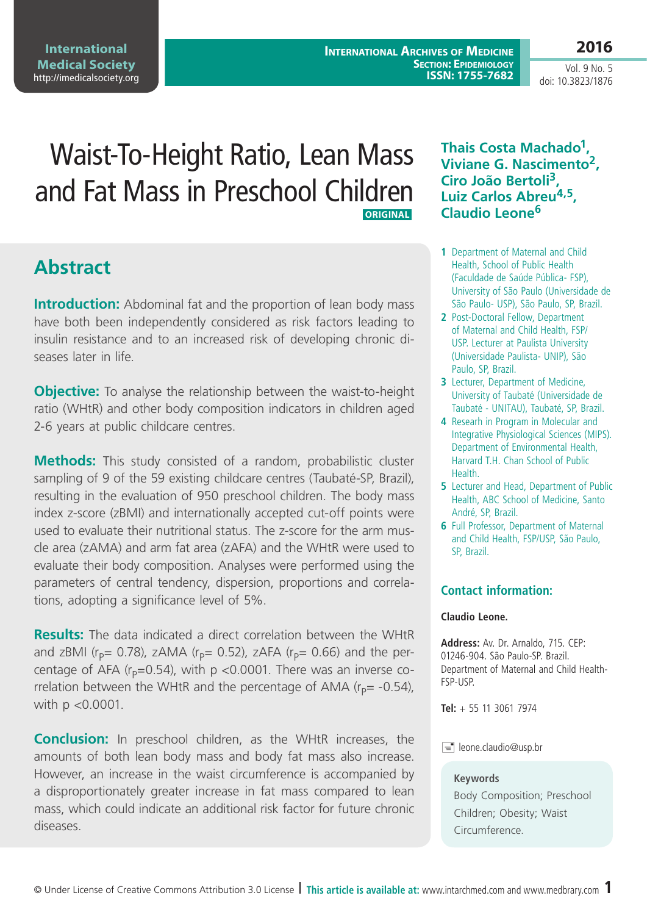**International Archives of Medicine Section: Epidemiology ISSN: 1755-7682**

Vol. 9 No. 5 doi: 10.3823/1876

**2016**

# Waist-To-Height Ratio, Lean Mass and Fat Mass in Preschool Children  **Original**

# **Abstract**

**Introduction:** Abdominal fat and the proportion of lean body mass have both been independently considered as risk factors leading to insulin resistance and to an increased risk of developing chronic diseases later in life.

**Objective:** To analyse the relationship between the waist-to-height ratio (WHtR) and other body composition indicators in children aged 2-6 years at public childcare centres.

**Methods:** This study consisted of a random, probabilistic cluster sampling of 9 of the 59 existing childcare centres (Taubaté-SP, Brazil), resulting in the evaluation of 950 preschool children. The body mass index z-score (zBMI) and internationally accepted cut-off points were used to evaluate their nutritional status. The z-score for the arm muscle area (zAMA) and arm fat area (zAFA) and the WHtR were used to evaluate their body composition. Analyses were performed using the parameters of central tendency, dispersion, proportions and correlations, adopting a significance level of 5%.

**Results:** The data indicated a direct correlation between the WHtR and zBMI ( $r_p$ = 0.78), zAMA ( $r_p$ = 0.52), zAFA ( $r_p$ = 0.66) and the percentage of AFA ( $r_p$ =0.54), with p <0.0001. There was an inverse correlation between the WHtR and the percentage of AMA ( $r<sub>p</sub>= -0.54$ ), with p <0.0001.

**Conclusion:** In preschool children, as the WHtR increases, the amounts of both lean body mass and body fat mass also increase. However, an increase in the waist circumference is accompanied by a disproportionately greater increase in fat mass compared to lean mass, which could indicate an additional risk factor for future chronic diseases.

### **Thais Costa Machado1, Viviane G. Nascimento2, Ciro João Bertoli3, Luiz Carlos Abreu4,5, Claudio Leone<sup>6</sup>**

- **1** Department of Maternal and Child Health, School of Public Health (Faculdade de Saúde Pública- FSP), University of São Paulo (Universidade de São Paulo- USP), São Paulo, SP, Brazil.
- **2** Post-Doctoral Fellow, Department of Maternal and Child Health, FSP/ USP. Lecturer at Paulista University (Universidade Paulista- UNIP), São Paulo, SP, Brazil.
- **3** Lecturer, Department of Medicine, University of Taubaté (Universidade de Taubaté - UNITAU), Taubaté, SP, Brazil.
- **4** Researh in Program in Molecular and Integrative Physiological Sciences (MIPS). Department of Environmental Health, Harvard T.H. Chan School of Public **Health**
- **5** Lecturer and Head, Department of Public Health, ABC School of Medicine, Santo André, SP, Brazil.
- **6** Full Professor, Department of Maternal and Child Health, FSP/USP, São Paulo, SP, Brazil.

### **Contact information:**

#### **Claudio Leone.**

**Address:** Av. Dr. Arnaldo, 715. CEP: 01246-904. São Paulo-SP. Brazil. Department of Maternal and Child Health-FSP-USP.

**Tel:** + 55 11 3061 7974

#### $\equiv$  leone.claudio@usp.br

#### **Keywords**

Body Composition; Preschool Children; Obesity; Waist Circumference.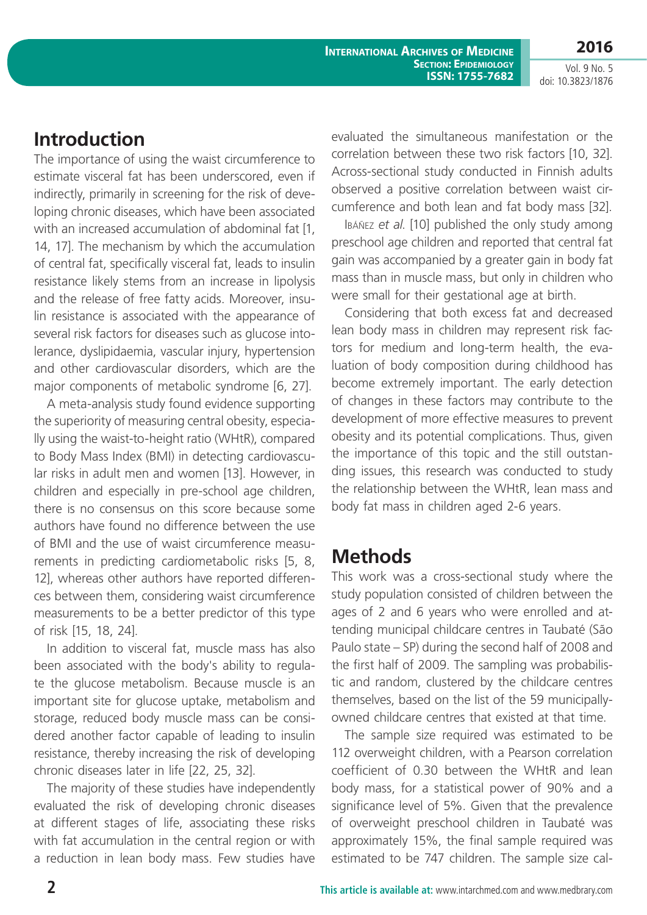**International Archives of Medicine Section: Epidemiology ISSN: 1755-7682**

**2016** Vol. 9 No. 5

doi: 10.3823/1876

## **Introduction**

The importance of using the waist circumference to estimate visceral fat has been underscored, even if indirectly, primarily in screening for the risk of developing chronic diseases, which have been associated with an increased accumulation of abdominal fat [1, 14, 17]. The mechanism by which the accumulation of central fat, specifically visceral fat, leads to insulin resistance likely stems from an increase in lipolysis and the release of free fatty acids. Moreover, insulin resistance is associated with the appearance of several risk factors for diseases such as glucose intolerance, dyslipidaemia, vascular injury, hypertension and other cardiovascular disorders, which are the major components of metabolic syndrome [6, 27].

A meta-analysis study found evidence supporting the superiority of measuring central obesity, especially using the waist-to-height ratio (WHtR), compared to Body Mass Index (BMI) in detecting cardiovascular risks in adult men and women [13]. However, in children and especially in pre-school age children, there is no consensus on this score because some authors have found no difference between the use of BMI and the use of waist circumference measurements in predicting cardiometabolic risks [5, 8, 12], whereas other authors have reported differences between them, considering waist circumference measurements to be a better predictor of this type of risk [15, 18, 24].

In addition to visceral fat, muscle mass has also been associated with the body's ability to regulate the glucose metabolism. Because muscle is an important site for glucose uptake, metabolism and storage, reduced body muscle mass can be considered another factor capable of leading to insulin resistance, thereby increasing the risk of developing chronic diseases later in life [22, 25, 32].

The majority of these studies have independently evaluated the risk of developing chronic diseases at different stages of life, associating these risks with fat accumulation in the central region or with a reduction in lean body mass. Few studies have evaluated the simultaneous manifestation or the correlation between these two risk factors [10, 32]. Across-sectional study conducted in Finnish adults observed a positive correlation between waist circumference and both lean and fat body mass [32].

Ibáñez *et al*. [10] published the only study among preschool age children and reported that central fat gain was accompanied by a greater gain in body fat mass than in muscle mass, but only in children who were small for their gestational age at birth.

Considering that both excess fat and decreased lean body mass in children may represent risk factors for medium and long-term health, the evaluation of body composition during childhood has become extremely important. The early detection of changes in these factors may contribute to the development of more effective measures to prevent obesity and its potential complications. Thus, given the importance of this topic and the still outstanding issues, this research was conducted to study the relationship between the WHtR, lean mass and body fat mass in children aged 2-6 years.

### **Methods**

This work was a cross-sectional study where the study population consisted of children between the ages of 2 and 6 years who were enrolled and attending municipal childcare centres in Taubaté (São Paulo state – SP) during the second half of 2008 and the first half of 2009. The sampling was probabilistic and random, clustered by the childcare centres themselves, based on the list of the 59 municipallyowned childcare centres that existed at that time.

The sample size required was estimated to be 112 overweight children, with a Pearson correlation coefficient of 0.30 between the WHtR and lean body mass, for a statistical power of 90% and a significance level of 5%. Given that the prevalence of overweight preschool children in Taubaté was approximately 15%, the final sample required was estimated to be 747 children. The sample size cal-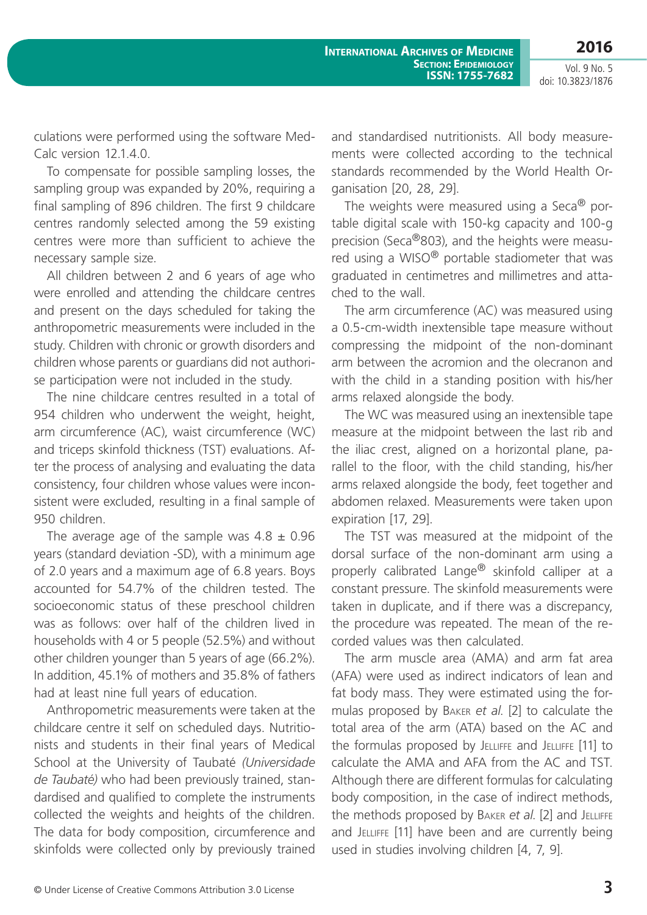**2016**

Vol. 9 No. 5 doi: 10.3823/1876

culations were performed using the software Med-Calc version 12.1.4.0.

To compensate for possible sampling losses, the sampling group was expanded by 20%, requiring a final sampling of 896 children. The first 9 childcare centres randomly selected among the 59 existing centres were more than sufficient to achieve the necessary sample size.

All children between 2 and 6 years of age who were enrolled and attending the childcare centres and present on the days scheduled for taking the anthropometric measurements were included in the study. Children with chronic or growth disorders and children whose parents or guardians did not authorise participation were not included in the study.

The nine childcare centres resulted in a total of 954 children who underwent the weight, height, arm circumference (AC), waist circumference (WC) and triceps skinfold thickness (TST) evaluations. After the process of analysing and evaluating the data consistency, four children whose values were inconsistent were excluded, resulting in a final sample of 950 children.

The average age of the sample was  $4.8 \pm 0.96$ years (standard deviation -SD), with a minimum age of 2.0 years and a maximum age of 6.8 years. Boys accounted for 54.7% of the children tested. The socioeconomic status of these preschool children was as follows: over half of the children lived in households with 4 or 5 people (52.5%) and without other children younger than 5 years of age (66.2%). In addition, 45.1% of mothers and 35.8% of fathers had at least nine full years of education.

Anthropometric measurements were taken at the childcare centre it self on scheduled days. Nutritionists and students in their final years of Medical School at the University of Taubaté *(Universidade de Taubaté)* who had been previously trained, standardised and qualified to complete the instruments collected the weights and heights of the children. The data for body composition, circumference and skinfolds were collected only by previously trained and standardised nutritionists. All body measurements were collected according to the technical standards recommended by the World Health Organisation [20, 28, 29].

The weights were measured using a Seca<sup>®</sup> portable digital scale with 150-kg capacity and 100-g precision (Seca®803), and the heights were measured using a WISO® portable stadiometer that was graduated in centimetres and millimetres and attached to the wall.

The arm circumference (AC) was measured using a 0.5-cm-width inextensible tape measure without compressing the midpoint of the non-dominant arm between the acromion and the olecranon and with the child in a standing position with his/her arms relaxed alongside the body.

The WC was measured using an inextensible tape measure at the midpoint between the last rib and the iliac crest, aligned on a horizontal plane, parallel to the floor, with the child standing, his/her arms relaxed alongside the body, feet together and abdomen relaxed. Measurements were taken upon expiration [17, 29].

The TST was measured at the midpoint of the dorsal surface of the non-dominant arm using a properly calibrated Lange® skinfold calliper at a constant pressure. The skinfold measurements were taken in duplicate, and if there was a discrepancy, the procedure was repeated. The mean of the recorded values was then calculated.

The arm muscle area (AMA) and arm fat area (AFA) were used as indirect indicators of lean and fat body mass. They were estimated using the formulas proposed by Baker *et al*. [2] to calculate the total area of the arm (ATA) based on the AC and the formulas proposed by Jelliffe and Jelliffe [11] to calculate the AMA and AFA from the AC and TST. Although there are different formulas for calculating body composition, in the case of indirect methods, the methods proposed by Baker *et al*. [2] and Jelliffe and JELLIFFE [11] have been and are currently being used in studies involving children [4, 7, 9].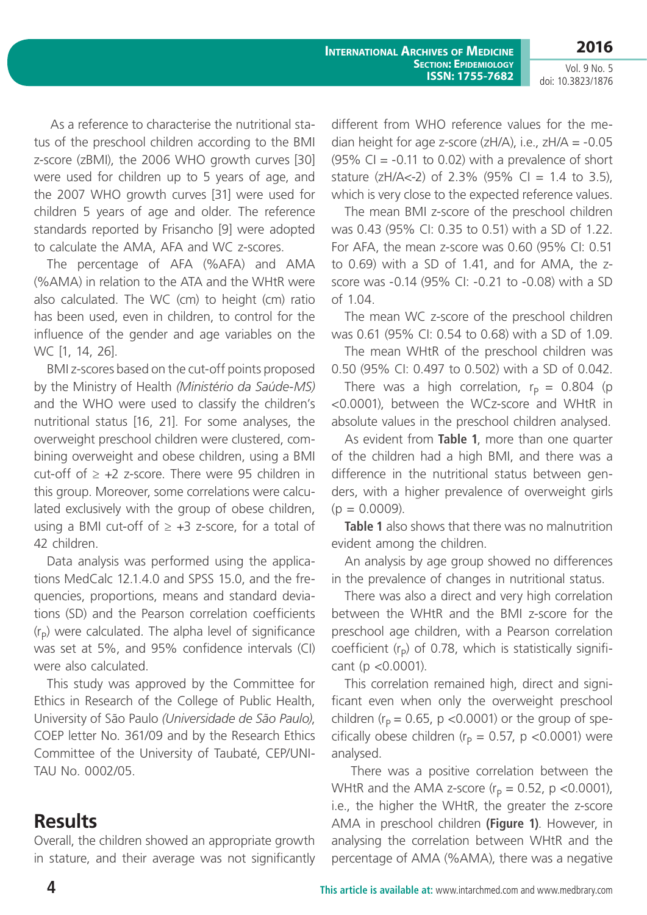**2016**

Vol. 9 No. 5 doi: 10.3823/1876

 As a reference to characterise the nutritional status of the preschool children according to the BMI z-score (zBMI), the 2006 WHO growth curves [30] were used for children up to 5 years of age, and the 2007 WHO growth curves [31] were used for children 5 years of age and older. The reference standards reported by Frisancho [9] were adopted to calculate the AMA, AFA and WC z-scores.

The percentage of AFA (%AFA) and AMA (%AMA) in relation to the ATA and the WHtR were also calculated. The WC (cm) to height (cm) ratio has been used, even in children, to control for the influence of the gender and age variables on the WC [1, 14, 26].

BMI z-scores based on the cut-off points proposed by the Ministry of Health *(Ministério da Saúde-MS)* and the WHO were used to classify the children's nutritional status [16, 21]. For some analyses, the overweight preschool children were clustered, combining overweight and obese children, using a BMI cut-off of  $\geq +2$  z-score. There were 95 children in this group. Moreover, some correlations were calculated exclusively with the group of obese children, using a BMI cut-off of  $\geq$  +3 z-score, for a total of 42 children.

Data analysis was performed using the applications MedCalc 12.1.4.0 and SPSS 15.0, and the frequencies, proportions, means and standard deviations (SD) and the Pearson correlation coefficients  $(r<sub>p</sub>)$  were calculated. The alpha level of significance was set at 5%, and 95% confidence intervals (CI) were also calculated.

This study was approved by the Committee for Ethics in Research of the College of Public Health, University of São Paulo *(Universidade de São Paulo)*, COEP letter No. 361/09 and by the Research Ethics Committee of the University of Taubaté, CEP/UNI-TAU No. 0002/05.

# **Results**

Overall, the children showed an appropriate growth in stature, and their average was not significantly different from WHO reference values for the median height for age z-score  $(zH/A)$ , i.e.,  $zH/A = -0.05$  $(95\% \text{ Cl} = -0.11 \text{ to } 0.02)$  with a prevalence of short stature ( $zH/A < -2$ ) of 2.3% (95% CI = 1.4 to 3.5), which is very close to the expected reference values.

The mean BMI z-score of the preschool children was 0.43 (95% CI: 0.35 to 0.51) with a SD of 1.22. For AFA, the mean z-score was 0.60 (95% CI: 0.51 to 0.69) with a SD of 1.41, and for AMA, the zscore was -0.14 (95% CI: -0.21 to -0.08) with a SD of 1.04.

The mean WC z-score of the preschool children was 0.61 (95% CI: 0.54 to 0.68) with a SD of 1.09.

The mean WHtR of the preschool children was 0.50 (95% CI: 0.497 to 0.502) with a SD of 0.042.

There was a high correlation,  $r_p = 0.804$  (p <0.0001), between the WCz-score and WHtR in absolute values in the preschool children analysed.

As evident from **Table 1**, more than one quarter of the children had a high BMI, and there was a difference in the nutritional status between genders, with a higher prevalence of overweight girls  $(p = 0.0009)$ .

**Table 1** also shows that there was no malnutrition evident among the children.

An analysis by age group showed no differences in the prevalence of changes in nutritional status.

There was also a direct and very high correlation between the WHtR and the BMI z-score for the preschool age children, with a Pearson correlation coefficient  $(r<sub>p</sub>)$  of 0.78, which is statistically significant (p <0.0001).

This correlation remained high, direct and significant even when only the overweight preschool children ( $r_p = 0.65$ , p <0.0001) or the group of specifically obese children ( $r<sub>p</sub> = 0.57$ , p <0.0001) were analysed.

 There was a positive correlation between the WHtR and the AMA z-score ( $r_p = 0.52$ , p <0.0001), i.e., the higher the WHtR, the greater the z-score AMA in preschool children **(Figure 1)**. However, in analysing the correlation between WHtR and the percentage of AMA (%AMA), there was a negative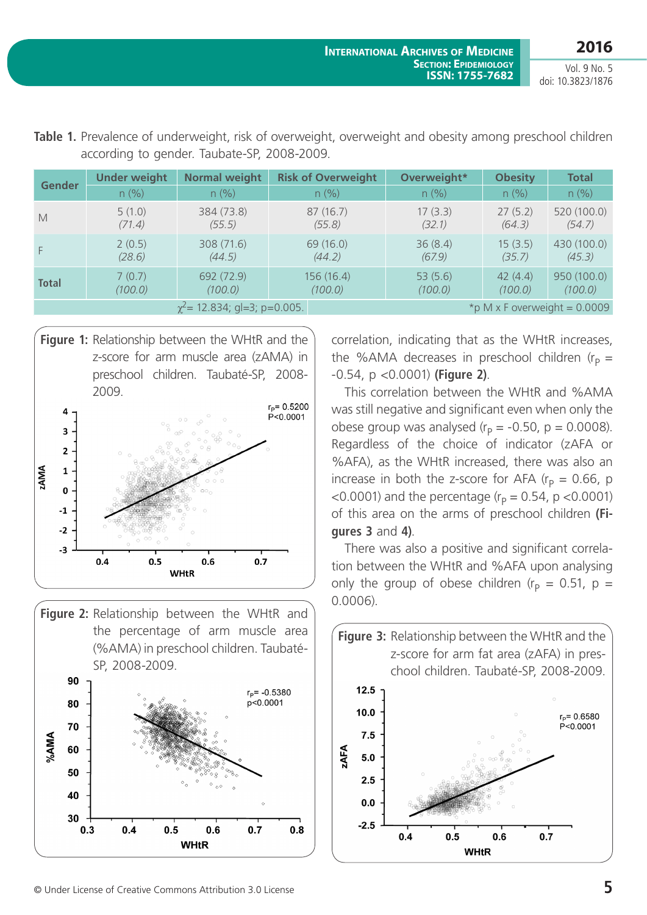| <b>Gender</b>                                                       | <b>Under weight</b> | <b>Normal weight</b> | <b>Risk of Overweight</b> | Overweight* | <b>Obesity</b> | <b>Total</b> |
|---------------------------------------------------------------------|---------------------|----------------------|---------------------------|-------------|----------------|--------------|
|                                                                     | $n$ (%)             | n (%)                | n (%)                     | n (%)       | n (%)          | $n$ (%)      |
| M                                                                   | 5(1.0)              | 384 (73.8)           | 87(16.7)                  | 17(3.3)     | 27(5.2)        | 520 (100.0)  |
|                                                                     | (71.4)              | (55.5)               | (55.8)                    | (32.1)      | (64.3)         | (54.7)       |
| F                                                                   | 2(0.5)              | 308 (71.6)           | 69 (16.0)                 | 36(8.4)     | 15(3.5)        | 430 (100.0)  |
|                                                                     | (28.6)              | (44.5)               | (44.2)                    | (67.9)      | (35.7)         | (45.3)       |
| <b>Total</b>                                                        | 7(0.7)              | 692 (72.9)           | 156 (16.4)                | 53(5.6)     | 42(4.4)        | 950 (100.0)  |
|                                                                     | (100.0)             | (100.0)              | (100.0)                   | (100.0)     | (100.0)        | (100.0)      |
| $\chi^2$ = 12.834; gl=3; p=0.005.<br>*p M x F overweight = $0.0009$ |                     |                      |                           |             |                |              |

**Table 1.** Prevalence of underweight, risk of overweight, overweight and obesity among preschool children according to gender. Taubate-SP, 2008-2009.







correlation, indicating that as the WHtR increases, the %AMA decreases in preschool children ( $r<sub>p</sub>$  = -0.54, p <0.0001) **(Figure 2)**.

This correlation between the WHtR and %AMA was still negative and significant even when only the obese group was analysed ( $r_p = -0.50$ , p = 0.0008). Regardless of the choice of indicator (zAFA or %AFA), as the WHtR increased, there was also an increase in both the z-score for AFA  $(r_p = 0.66, p$ <0.0001) and the percentage ( $r_p = 0.54$ , p <0.0001) of this area on the arms of preschool children **(Figures 3** and **4)**.

There was also a positive and significant correlation between the WHtR and %AFA upon analysing only the group of obese children ( $r_p = 0.51$ , p = 0.0006).

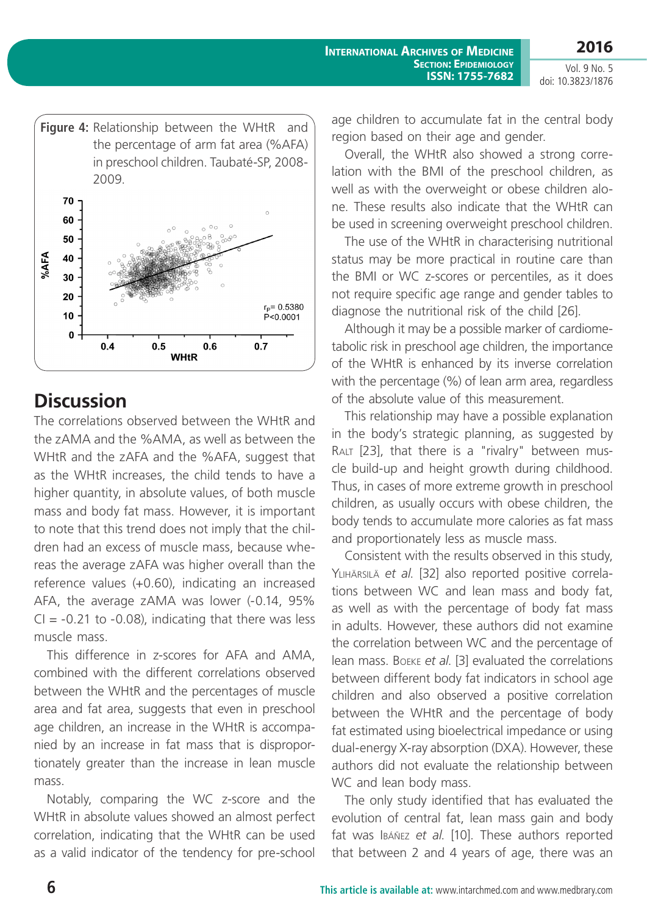

# **Discussion**

The correlations observed between the WHtR and the zAMA and the %AMA, as well as between the WHtR and the zAFA and the %AFA, suggest that as the WHtR increases, the child tends to have a higher quantity, in absolute values, of both muscle mass and body fat mass. However, it is important to note that this trend does not imply that the children had an excess of muscle mass, because whereas the average zAFA was higher overall than the reference values (+0.60), indicating an increased AFA, the average zAMA was lower (-0.14, 95%  $CI = -0.21$  to  $-0.08$ ), indicating that there was less muscle mass.

This difference in z-scores for AFA and AMA, combined with the different correlations observed between the WHtR and the percentages of muscle area and fat area, suggests that even in preschool age children, an increase in the WHtR is accompanied by an increase in fat mass that is disproportionately greater than the increase in lean muscle mass.

Notably, comparing the WC z-score and the WHtR in absolute values showed an almost perfect correlation, indicating that the WHtR can be used as a valid indicator of the tendency for pre-school

age children to accumulate fat in the central body region based on their age and gender.

Overall, the WHtR also showed a strong correlation with the BMI of the preschool children, as well as with the overweight or obese children alone. These results also indicate that the WHtR can be used in screening overweight preschool children.

The use of the WHtR in characterising nutritional status may be more practical in routine care than the BMI or WC z-scores or percentiles, as it does not require specific age range and gender tables to diagnose the nutritional risk of the child [26].

Although it may be a possible marker of cardiometabolic risk in preschool age children, the importance of the WHtR is enhanced by its inverse correlation with the percentage (%) of lean arm area, regardless of the absolute value of this measurement.

This relationship may have a possible explanation in the body's strategic planning, as suggested by RALT [23], that there is a "rivalry" between muscle build-up and height growth during childhood. Thus, in cases of more extreme growth in preschool children, as usually occurs with obese children, the body tends to accumulate more calories as fat mass and proportionately less as muscle mass.

Consistent with the results observed in this study, Ylihärsilä *et al*. [32] also reported positive correlations between WC and lean mass and body fat, as well as with the percentage of body fat mass in adults. However, these authors did not examine the correlation between WC and the percentage of lean mass. Boeke *et al*. [3] evaluated the correlations between different body fat indicators in school age children and also observed a positive correlation between the WHtR and the percentage of body fat estimated using bioelectrical impedance or using dual-energy X-ray absorption (DXA). However, these authors did not evaluate the relationship between WC and lean body mass.

The only study identified that has evaluated the evolution of central fat, lean mass gain and body fat was Ibáñez *et al*. [10]. These authors reported that between 2 and 4 years of age, there was an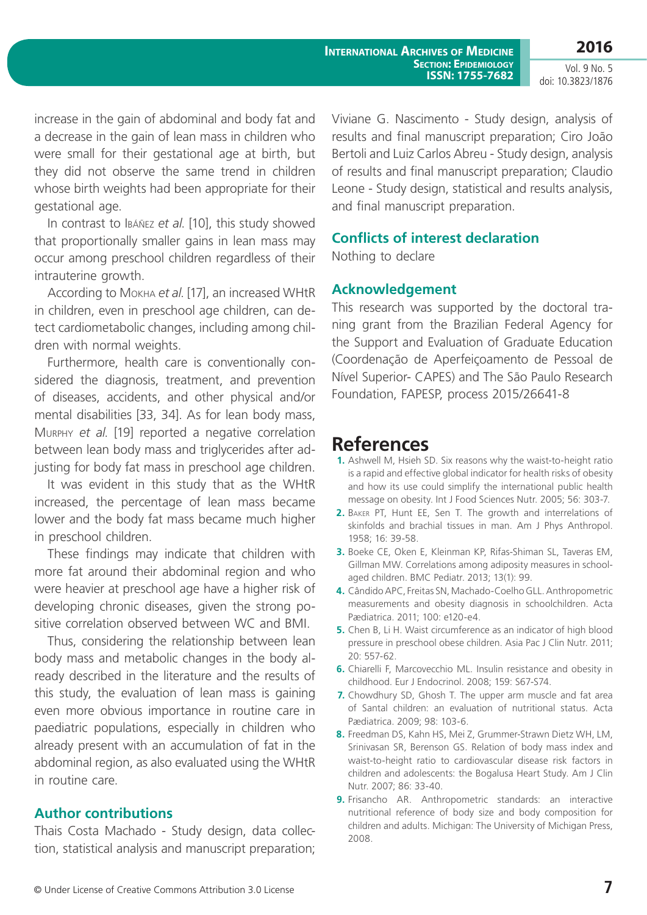increase in the gain of abdominal and body fat and a decrease in the gain of lean mass in children who were small for their gestational age at birth, but they did not observe the same trend in children whose birth weights had been appropriate for their gestational age.

In contrast to Ibáñez *et al*. [10], this study showed that proportionally smaller gains in lean mass may occur among preschool children regardless of their intrauterine growth.

According to Mokha *et al*. [17], an increased WHtR in children, even in preschool age children, can detect cardiometabolic changes, including among children with normal weights.

Furthermore, health care is conventionally considered the diagnosis, treatment, and prevention of diseases, accidents, and other physical and/or mental disabilities [33, 34]. As for lean body mass, Murphy *et al*. [19] reported a negative correlation between lean body mass and triglycerides after adjusting for body fat mass in preschool age children.

It was evident in this study that as the WHtR increased, the percentage of lean mass became lower and the body fat mass became much higher in preschool children.

These findings may indicate that children with more fat around their abdominal region and who were heavier at preschool age have a higher risk of developing chronic diseases, given the strong positive correlation observed between WC and BMI.

Thus, considering the relationship between lean body mass and metabolic changes in the body already described in the literature and the results of this study, the evaluation of lean mass is gaining even more obvious importance in routine care in paediatric populations, especially in children who already present with an accumulation of fat in the abdominal region, as also evaluated using the WHtR in routine care.

### **Author contributions**

Thais Costa Machado - Study design, data collection, statistical analysis and manuscript preparation; Viviane G. Nascimento - Study design, analysis of results and final manuscript preparation; Ciro João Bertoli and Luiz Carlos Abreu - Study design, analysis of results and final manuscript preparation; Claudio Leone - Study design, statistical and results analysis, and final manuscript preparation.

### **Conflicts of interest declaration**

Nothing to declare

### **Acknowledgement**

This research was supported by the doctoral traning grant from the Brazilian Federal Agency for the Support and Evaluation of Graduate Education (Coordenação de Aperfeiçoamento de Pessoal de Nível Superior- CAPES) and The São Paulo Research Foundation, FAPESP, process 2015/26641-8

### **References**

- **1.** Ashwell M, Hsieh SD. Six reasons why the waist-to-height ratio is a rapid and effective global indicator for health risks of obesity and how its use could simplify the international public health message on obesity. Int J Food Sciences Nutr. 2005; 56: 303-7.
- **2.** Baker PT, Hunt EE, Sen T. The growth and interrelations of skinfolds and brachial tissues in man. Am J Phys Anthropol. 1958; 16: 39-58.
- **3.** Boeke CE, Oken E, Kleinman KP, Rifas-Shiman SL, Taveras EM, Gillman MW. Correlations among adiposity measures in schoolaged children. BMC Pediatr. 2013; 13(1): 99.
- **4.** Cândido APC, Freitas SN, Machado-Coelho GLL. Anthropometric measurements and obesity diagnosis in schoolchildren. Acta Pædiatrica. 2011; 100: e120-e4.
- **5.** Chen B, Li H. Waist circumference as an indicator of high blood pressure in preschool obese children. Asia Pac J Clin Nutr. 2011; 20: 557-62.
- **6.** Chiarelli F, Marcovecchio ML. Insulin resistance and obesity in childhood. Eur J Endocrinol. 2008; 159: S67-S74.
- **7.** Chowdhury SD, Ghosh T. The upper arm muscle and fat area of Santal children: an evaluation of nutritional status. Acta Pædiatrica. 2009; 98: 103-6.
- **8.** Freedman DS, Kahn HS, Mei Z, Grummer-Strawn Dietz WH, LM, Srinivasan SR, Berenson GS. Relation of body mass index and waist-to-height ratio to cardiovascular disease risk factors in children and adolescents: the Bogalusa Heart Study. Am J Clin Nutr. 2007; 86: 33-40.
- **9.** Frisancho AR. Anthropometric standards: an interactive nutritional reference of body size and body composition for children and adults. Michigan: The University of Michigan Press, 2008.